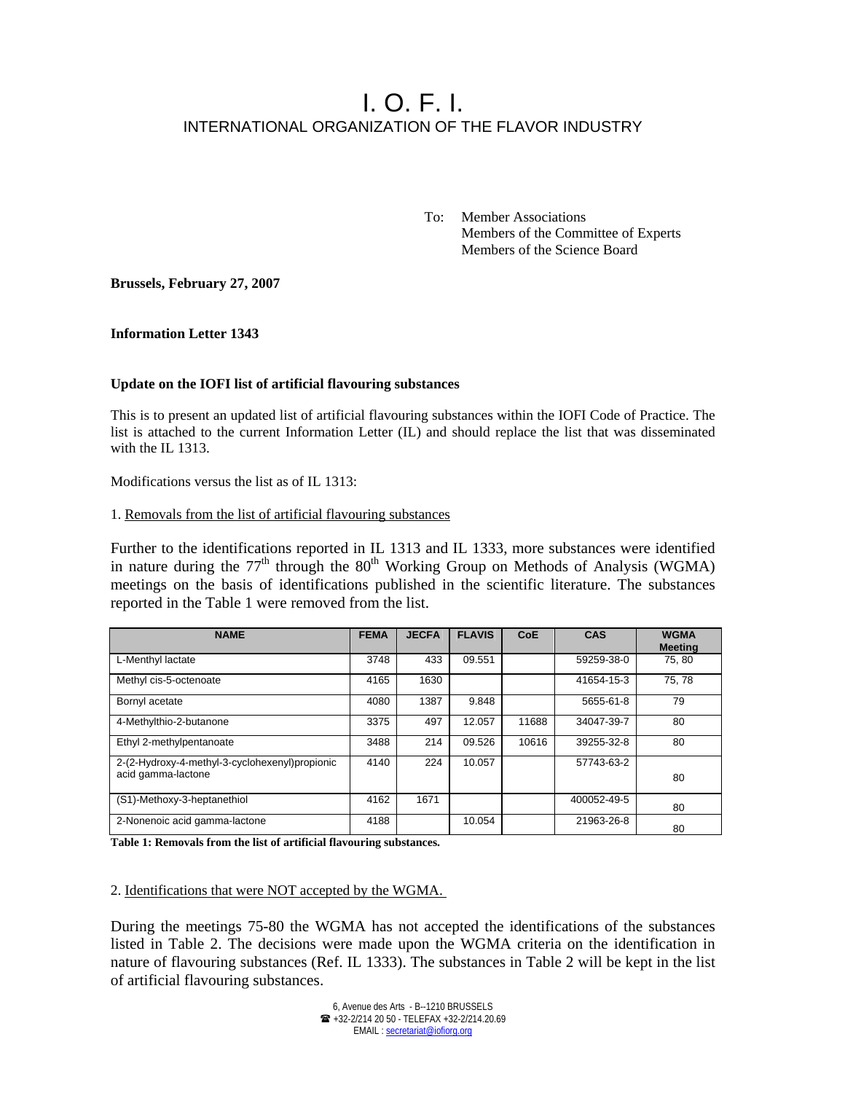# I. O. F. I. INTERNATIONAL ORGANIZATION OF THE FLAVOR INDUSTRY

 To: Member Associations Members of the Committee of Experts Members of the Science Board

**Brussels, February 27, 2007** 

**Information Letter 1343** 

# **Update on the IOFI list of artificial flavouring substances**

This is to present an updated list of artificial flavouring substances within the IOFI Code of Practice. The list is attached to the current Information Letter (IL) and should replace the list that was disseminated with the IL 1313.

Modifications versus the list as of IL 1313:

#### 1. Removals from the list of artificial flavouring substances

Further to the identifications reported in IL 1313 and IL 1333, more substances were identified in nature during the  $77<sup>th</sup>$  through the  $80<sup>th</sup>$  Working Group on Methods of Analysis (WGMA) meetings on the basis of identifications published in the scientific literature. The substances reported in the Table 1 were removed from the list.

| <b>NAME</b>                                                           | <b>FEMA</b> | <b>JECFA</b> | <b>FLAVIS</b> | <b>CoE</b> | CAS         | <b>WGMA</b><br><b>Meeting</b> |
|-----------------------------------------------------------------------|-------------|--------------|---------------|------------|-------------|-------------------------------|
| L-Menthyl lactate                                                     | 3748        | 433          | 09.551        |            | 59259-38-0  | 75,80                         |
| Methyl cis-5-octenoate                                                | 4165        | 1630         |               |            | 41654-15-3  | 75.78                         |
| Bornyl acetate                                                        | 4080        | 1387         | 9.848         |            | 5655-61-8   | 79                            |
| 4-Methylthio-2-butanone                                               | 3375        | 497          | 12.057        | 11688      | 34047-39-7  | 80                            |
| Ethyl 2-methylpentanoate                                              | 3488        | 214          | 09.526        | 10616      | 39255-32-8  | 80                            |
| 2-(2-Hydroxy-4-methyl-3-cyclohexenyl) propionic<br>acid gamma-lactone | 4140        | 224          | 10.057        |            | 57743-63-2  | 80                            |
| (S1)-Methoxy-3-heptanethiol                                           | 4162        | 1671         |               |            | 400052-49-5 | 80                            |
| 2-Nonenoic acid gamma-lactone                                         | 4188        |              | 10.054        |            | 21963-26-8  | 80                            |

**Table 1: Removals from the list of artificial flavouring substances.** 

2. Identifications that were NOT accepted by the WGMA.

During the meetings 75-80 the WGMA has not accepted the identifications of the substances listed in Table 2. The decisions were made upon the WGMA criteria on the identification in nature of flavouring substances (Ref. IL 1333). The substances in Table 2 will be kept in the list of artificial flavouring substances.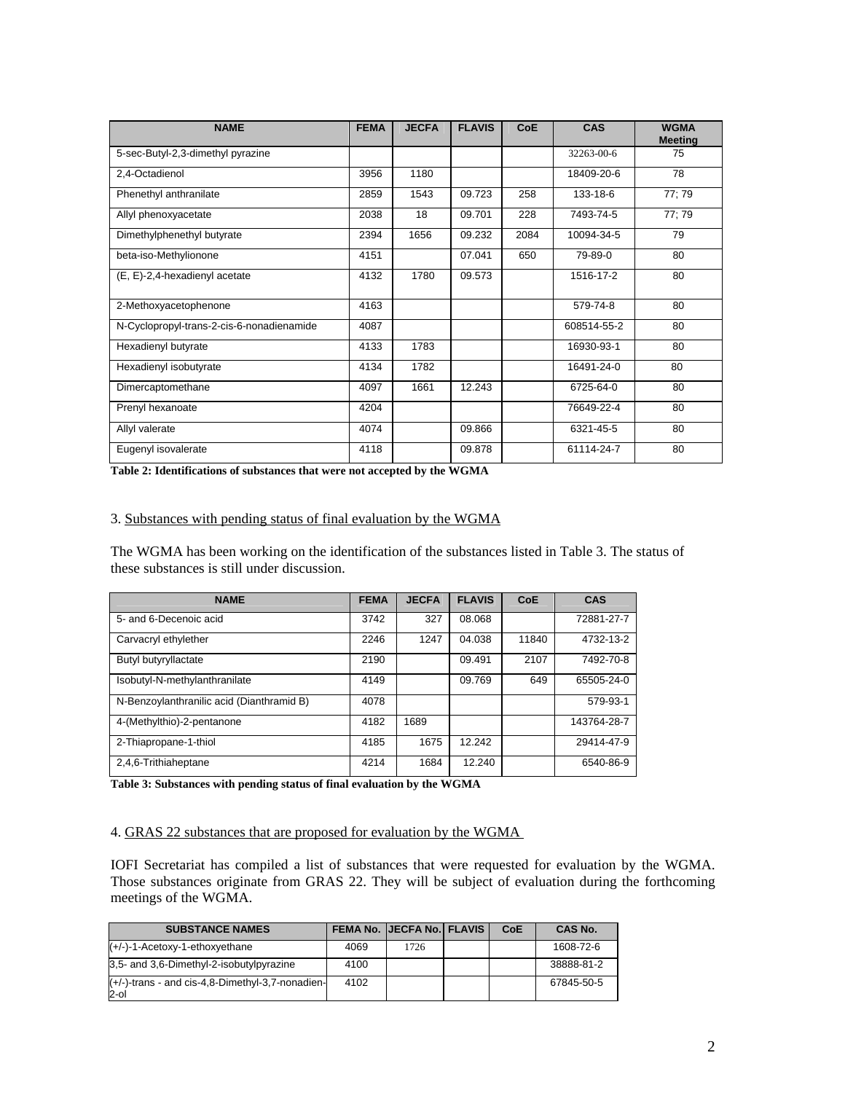| <b>NAME</b>                               | <b>FEMA</b> | <b>JECFA</b> | <b>FLAVIS</b> | <b>CoE</b> | <b>CAS</b>  | <b>WGMA</b><br><b>Meeting</b> |
|-------------------------------------------|-------------|--------------|---------------|------------|-------------|-------------------------------|
| 5-sec-Butyl-2,3-dimethyl pyrazine         |             |              |               |            | 32263-00-6  | 75                            |
| 2,4-Octadienol                            | 3956        | 1180         |               |            | 18409-20-6  | 78                            |
| Phenethyl anthranilate                    | 2859        | 1543         | 09.723        | 258        | 133-18-6    | 77; 79                        |
| Allyl phenoxyacetate                      | 2038        | 18           | 09.701        | 228        | 7493-74-5   | 77:79                         |
| Dimethylphenethyl butyrate                | 2394        | 1656         | 09.232        | 2084       | 10094-34-5  | 79                            |
| beta-iso-Methylionone                     | 4151        |              | 07.041        | 650        | 79-89-0     | 80                            |
| (E, E)-2,4-hexadienyl acetate             | 4132        | 1780         | 09.573        |            | 1516-17-2   | 80                            |
| 2-Methoxyacetophenone                     | 4163        |              |               |            | 579-74-8    | 80                            |
| N-Cyclopropyl-trans-2-cis-6-nonadienamide | 4087        |              |               |            | 608514-55-2 | 80                            |
| Hexadienyl butyrate                       | 4133        | 1783         |               |            | 16930-93-1  | 80                            |
| Hexadienyl isobutyrate                    | 4134        | 1782         |               |            | 16491-24-0  | 80                            |
| Dimercaptomethane                         | 4097        | 1661         | 12.243        |            | 6725-64-0   | 80                            |
| Prenyl hexanoate                          | 4204        |              |               |            | 76649-22-4  | 80                            |
| Allyl valerate                            | 4074        |              | 09.866        |            | 6321-45-5   | 80                            |
| Eugenyl isovalerate                       | 4118        |              | 09.878        |            | 61114-24-7  | 80                            |

**Table 2: Identifications of substances that were not accepted by the WGMA** 

### 3. Substances with pending status of final evaluation by the WGMA

The WGMA has been working on the identification of the substances listed in Table 3. The status of these substances is still under discussion.

| <b>NAME</b>                               | <b>FEMA</b> | <b>JECFA</b> | <b>FLAVIS</b> | <b>CoE</b> | CAS         |
|-------------------------------------------|-------------|--------------|---------------|------------|-------------|
| 5- and 6-Decenoic acid                    | 3742        | 327          | 08.068        |            | 72881-27-7  |
| Carvacryl ethylether                      | 2246        | 1247         | 04.038        | 11840      | 4732-13-2   |
| Butyl butyryllactate                      | 2190        |              | 09.491        | 2107       | 7492-70-8   |
| Isobutyl-N-methylanthranilate             | 4149        |              | 09.769        | 649        | 65505-24-0  |
| N-Benzoylanthranilic acid (Dianthramid B) | 4078        |              |               |            | 579-93-1    |
| 4-(Methylthio)-2-pentanone                | 4182        | 1689         |               |            | 143764-28-7 |
| 2-Thiapropane-1-thiol                     | 4185        | 1675         | 12.242        |            | 29414-47-9  |
| 2,4,6-Trithiaheptane                      | 4214        | 1684         | 12.240        |            | 6540-86-9   |

**Table 3: Substances with pending status of final evaluation by the WGMA** 

#### 4. GRAS 22 substances that are proposed for evaluation by the WGMA

IOFI Secretariat has compiled a list of substances that were requested for evaluation by the WGMA. Those substances originate from GRAS 22. They will be subject of evaluation during the forthcoming meetings of the WGMA.

| <b>SUBSTANCE NAMES</b>                                   |      | <b>FEMA No. IJECFA No.I FLAVIS</b> | <b>CoE</b> | <b>CAS No.</b> |
|----------------------------------------------------------|------|------------------------------------|------------|----------------|
| $(+/-)-1$ -Acetoxy-1-ethoxyethane                        | 4069 | 1726                               |            | 1608-72-6      |
| 3.5- and 3.6-Dimethyl-2-isobutylpyrazine                 | 4100 |                                    |            | 38888-81-2     |
| (+/-)-trans - and cis-4,8-Dimethyl-3,7-nonadien-<br>2-ol | 4102 |                                    |            | 67845-50-5     |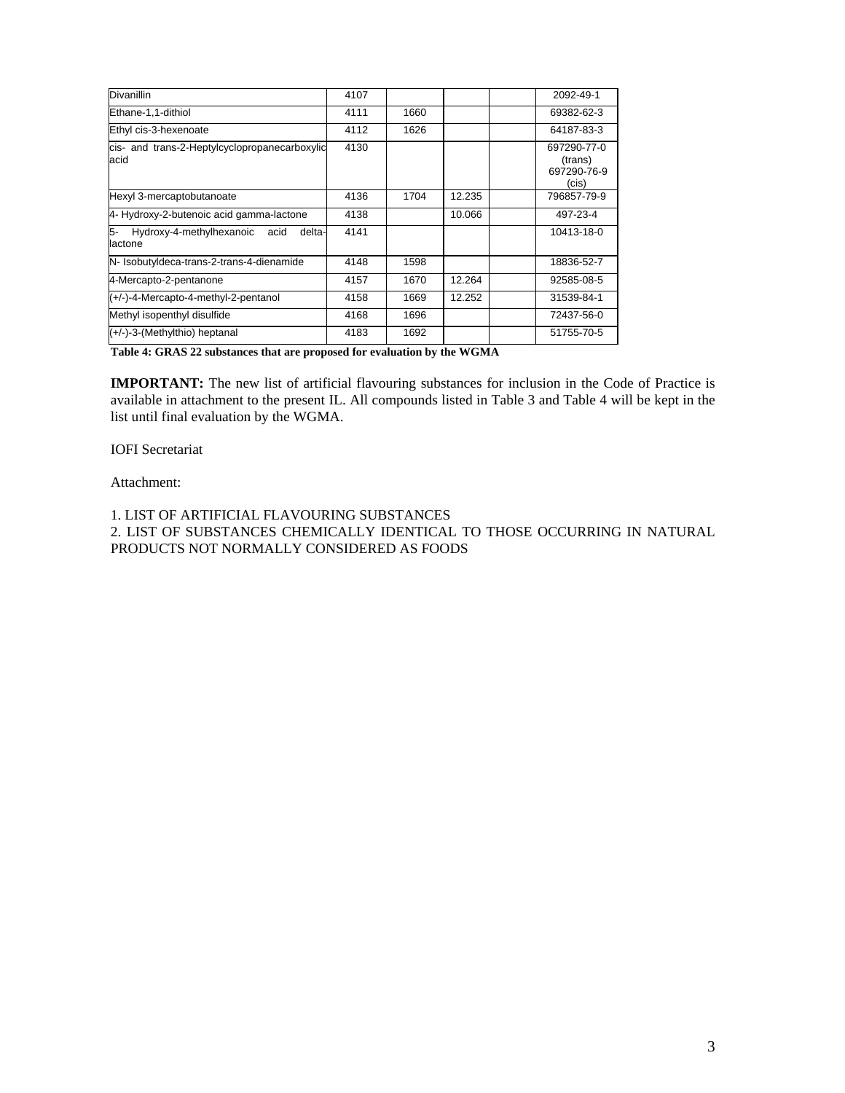| <b>Divanillin</b>                                           | 4107 |      |        | 2092-49-1                                      |
|-------------------------------------------------------------|------|------|--------|------------------------------------------------|
| Ethane-1,1-dithiol                                          | 4111 | 1660 |        | 69382-62-3                                     |
| Ethyl cis-3-hexenoate                                       | 4112 | 1626 |        | 64187-83-3                                     |
| cis- and trans-2-Heptylcyclopropanecarboxylic<br>acid       | 4130 |      |        | 697290-77-0<br>(trans)<br>697290-76-9<br>(cis) |
| Hexyl 3-mercaptobutanoate                                   | 4136 | 1704 | 12.235 | 796857-79-9                                    |
| 4- Hydroxy-2-butenoic acid gamma-lactone                    | 4138 |      | 10.066 | 497-23-4                                       |
| 5-<br>Hydroxy-4-methylhexanoic<br>acid<br>delta-<br>lactone | 4141 |      |        | 10413-18-0                                     |
| N- IsobutyIdeca-trans-2-trans-4-dienamide                   | 4148 | 1598 |        | 18836-52-7                                     |
| 4-Mercapto-2-pentanone                                      | 4157 | 1670 | 12.264 | 92585-08-5                                     |
| (+/-)-4-Mercapto-4-methyl-2-pentanol                        | 4158 | 1669 | 12.252 | 31539-84-1                                     |
| Methyl isopenthyl disulfide                                 | 4168 | 1696 |        | 72437-56-0                                     |
| $(+/-)$ -3-(Methylthio) heptanal                            | 4183 | 1692 |        | 51755-70-5                                     |

**Table 4: GRAS 22 substances that are proposed for evaluation by the WGMA** 

**IMPORTANT:** The new list of artificial flavouring substances for inclusion in the Code of Practice is available in attachment to the present IL. All compounds listed in Table 3 and Table 4 will be kept in the list until final evaluation by the WGMA.

#### IOFI Secretariat

# Attachment:

1. LIST OF ARTIFICIAL FLAVOURING SUBSTANCES 2. LIST OF SUBSTANCES CHEMICALLY IDENTICAL TO THOSE OCCURRING IN NATURAL PRODUCTS NOT NORMALLY CONSIDERED AS FOODS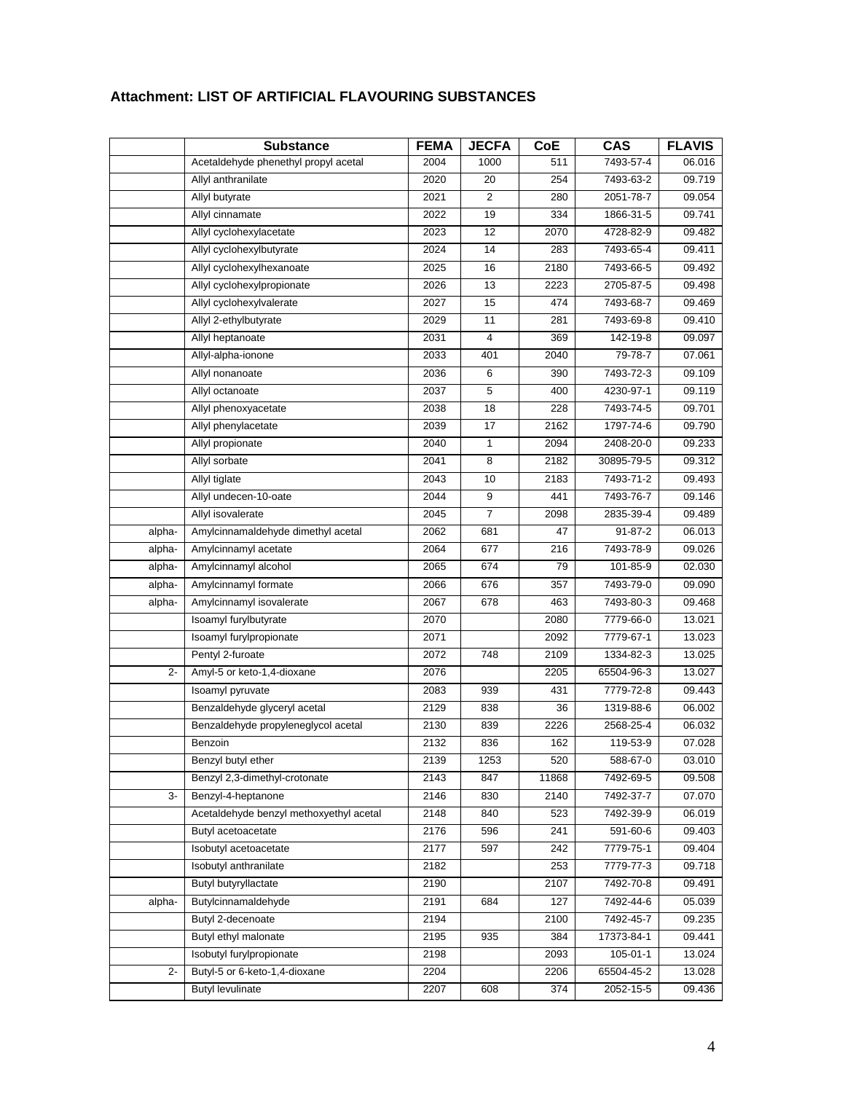|        | <b>Substance</b>                        | <b>FEMA</b> | <b>JECFA</b>   | CoE   | <b>CAS</b> | <b>FLAVIS</b> |
|--------|-----------------------------------------|-------------|----------------|-------|------------|---------------|
|        | Acetaldehyde phenethyl propyl acetal    | 2004        | 1000           | 511   | 7493-57-4  | 06.016        |
|        | Allyl anthranilate                      | 2020        | 20             | 254   | 7493-63-2  | 09.719        |
|        | Allyl butyrate                          | 2021        | $\overline{2}$ | 280   | 2051-78-7  | 09.054        |
|        | Allyl cinnamate                         | 2022        | 19             | 334   | 1866-31-5  | 09.741        |
|        | Allyl cyclohexylacetate                 | 2023        | 12             | 2070  | 4728-82-9  | 09.482        |
|        | Allyl cyclohexylbutyrate                | 2024        | 14             | 283   | 7493-65-4  | 09.411        |
|        | Allyl cyclohexylhexanoate               | 2025        | 16             | 2180  | 7493-66-5  | 09.492        |
|        | Allyl cyclohexylpropionate              | 2026        | 13             | 2223  | 2705-87-5  | 09.498        |
|        | Allyl cyclohexylvalerate                | 2027        | 15             | 474   | 7493-68-7  | 09.469        |
|        | Allyl 2-ethylbutyrate                   | 2029        | 11             | 281   | 7493-69-8  | 09.410        |
|        | Allyl heptanoate                        | 2031        | 4              | 369   | 142-19-8   | 09.097        |
|        | Allyl-alpha-ionone                      | 2033        | 401            | 2040  | 79-78-7    | 07.061        |
|        | Allyl nonanoate                         | 2036        | 6              | 390   | 7493-72-3  | 09.109        |
|        | Allyl octanoate                         | 2037        | 5              | 400   | 4230-97-1  | 09.119        |
|        | Allyl phenoxyacetate                    | 2038        | 18             | 228   | 7493-74-5  | 09.701        |
|        | Allyl phenylacetate                     | 2039        | 17             | 2162  | 1797-74-6  | 09.790        |
|        | Allyl propionate                        | 2040        | 1              | 2094  | 2408-20-0  | 09.233        |
|        | Allyl sorbate                           | 2041        | 8              | 2182  | 30895-79-5 | 09.312        |
|        | Allyl tiglate                           | 2043        | 10             | 2183  | 7493-71-2  | 09.493        |
|        | Allyl undecen-10-oate                   | 2044        | 9              | 441   | 7493-76-7  | 09.146        |
|        | Allyl isovalerate                       | 2045        | 7              | 2098  | 2835-39-4  | 09.489        |
| alpha- | Amylcinnamaldehyde dimethyl acetal      | 2062        | 681            | 47    | 91-87-2    | 06.013        |
| alpha- | Amylcinnamyl acetate                    | 2064        | 677            | 216   | 7493-78-9  | 09.026        |
| alpha- | Amylcinnamyl alcohol                    | 2065        | 674            | 79    | 101-85-9   | 02.030        |
| alpha- | Amylcinnamyl formate                    | 2066        | 676            | 357   | 7493-79-0  | 09.090        |
| alpha- | Amylcinnamyl isovalerate                | 2067        | 678            | 463   | 7493-80-3  | 09.468        |
|        | Isoamyl furylbutyrate                   | 2070        |                | 2080  | 7779-66-0  | 13.021        |
|        | Isoamyl furylpropionate                 | 2071        |                | 2092  | 7779-67-1  | 13.023        |
|        | Pentyl 2-furoate                        | 2072        | 748            | 2109  | 1334-82-3  | 13.025        |
| $2 -$  | Amyl-5 or keto-1,4-dioxane              | 2076        |                | 2205  | 65504-96-3 | 13.027        |
|        | Isoamyl pyruvate                        | 2083        | 939            | 431   | 7779-72-8  | 09.443        |
|        | Benzaldehyde glyceryl acetal            | 2129        | 838            | 36    | 1319-88-6  | 06.002        |
|        | Benzaldehyde propyleneglycol acetal     | 2130        | 839            | 2226  | 2568-25-4  | 06.032        |
|        | Benzoin                                 | 2132        | 836            | 162   | 119-53-9   | 07.028        |
|        | Benzyl butyl ether                      | 2139        | 1253           | 520   | 588-67-0   | 03.010        |
|        | Benzyl 2,3-dimethyl-crotonate           | 2143        | 847            | 11868 | 7492-69-5  | 09.508        |
| 3-     | Benzyl-4-heptanone                      | 2146        | 830            | 2140  | 7492-37-7  | 07.070        |
|        | Acetaldehyde benzyl methoxyethyl acetal | 2148        | 840            | 523   | 7492-39-9  | 06.019        |
|        | Butyl acetoacetate                      | 2176        | 596            | 241   | 591-60-6   | 09.403        |
|        | Isobutyl acetoacetate                   | 2177        | 597            | 242   | 7779-75-1  | 09.404        |
|        | Isobutyl anthranilate                   | 2182        |                | 253   | 7779-77-3  | 09.718        |
|        | Butyl butyryllactate                    | 2190        |                | 2107  | 7492-70-8  | 09.491        |
| alpha- | Butylcinnamaldehyde                     | 2191        | 684            | 127   | 7492-44-6  | 05.039        |
|        | Butyl 2-decenoate                       | 2194        |                | 2100  | 7492-45-7  | 09.235        |
|        | Butyl ethyl malonate                    | 2195        | 935            | 384   | 17373-84-1 | 09.441        |
|        | Isobutyl furylpropionate                | 2198        |                | 2093  | 105-01-1   | 13.024        |
| 2-     | Butyl-5 or 6-keto-1,4-dioxane           | 2204        |                | 2206  | 65504-45-2 | 13.028        |
|        | <b>Butyl levulinate</b>                 | 2207        | 608            | 374   | 2052-15-5  | 09.436        |

# **Attachment: LIST OF ARTIFICIAL FLAVOURING SUBSTANCES**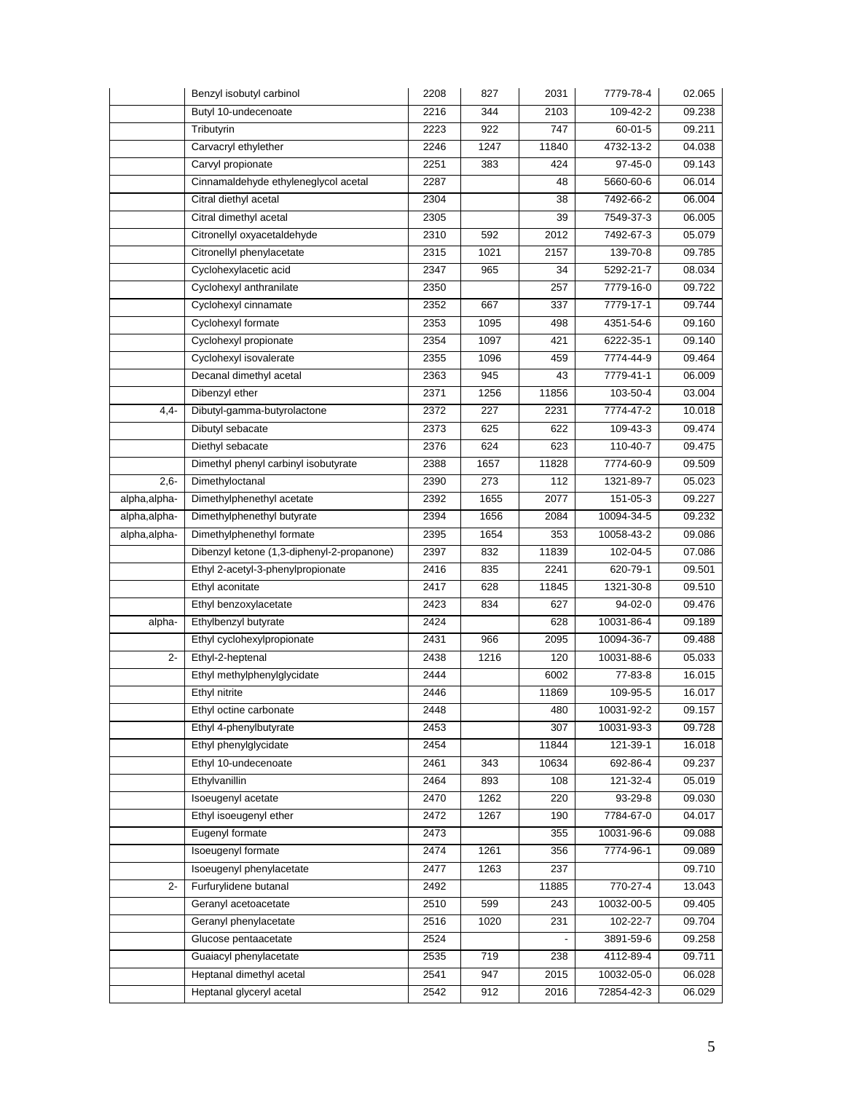|              | Benzyl isobutyl carbinol                   | 2208 | 827  | 2031  | 7779-78-4                 | 02.065 |
|--------------|--------------------------------------------|------|------|-------|---------------------------|--------|
|              | Butyl 10-undecenoate                       | 2216 | 344  | 2103  | 109-42-2                  | 09.238 |
|              | Tributyrin                                 | 2223 | 922  | 747   | $60 - 01 - 5$             | 09.211 |
|              | Carvacryl ethylether                       | 2246 | 1247 | 11840 | 4732-13-2                 | 04.038 |
|              | Carvyl propionate                          | 2251 | 383  | 424   | 97-45-0                   | 09.143 |
|              | Cinnamaldehyde ethyleneglycol acetal       | 2287 |      | 48    | 5660-60-6                 | 06.014 |
|              | Citral diethyl acetal                      | 2304 |      | 38    | 7492-66-2                 | 06.004 |
|              | Citral dimethyl acetal                     | 2305 |      | 39    | 7549-37-3                 | 06.005 |
|              | Citronellyl oxyacetaldehyde                | 2310 | 592  | 2012  | 7492-67-3                 | 05.079 |
|              | Citronellyl phenylacetate                  | 2315 | 1021 | 2157  | 139-70-8                  | 09.785 |
|              | Cyclohexylacetic acid                      | 2347 | 965  | 34    | 5292-21-7                 | 08.034 |
|              | Cyclohexyl anthranilate                    | 2350 |      | 257   | 7779-16-0                 | 09.722 |
|              | Cyclohexyl cinnamate                       | 2352 | 667  | 337   | 7779-17-1                 | 09.744 |
|              | Cyclohexyl formate                         | 2353 | 1095 | 498   | 4351-54-6                 | 09.160 |
|              | Cyclohexyl propionate                      | 2354 | 1097 | 421   | 6222-35-1                 | 09.140 |
|              | Cyclohexyl isovalerate                     | 2355 | 1096 | 459   | 7774-44-9                 | 09.464 |
|              | Decanal dimethyl acetal                    | 2363 | 945  | 43    | 7779-41-1                 | 06.009 |
|              | Dibenzyl ether                             | 2371 | 1256 | 11856 | 103-50-4                  | 03.004 |
| $4,4-$       | Dibutyl-gamma-butyrolactone                | 2372 | 227  | 2231  | 7774-47-2                 | 10.018 |
|              | Dibutyl sebacate                           | 2373 | 625  | 622   | 109-43-3                  | 09.474 |
|              | Diethyl sebacate                           | 2376 | 624  | 623   | $\overline{110} - 40 - 7$ | 09.475 |
|              | Dimethyl phenyl carbinyl isobutyrate       | 2388 | 1657 | 11828 | 7774-60-9                 | 09.509 |
| $2,6-$       | Dimethyloctanal                            | 2390 | 273  | 112   | 1321-89-7                 | 05.023 |
| alpha,alpha- | Dimethylphenethyl acetate                  | 2392 | 1655 | 2077  | 151-05-3                  | 09.227 |
| alpha,alpha- | Dimethylphenethyl butyrate                 | 2394 | 1656 | 2084  | 10094-34-5                | 09.232 |
| alpha,alpha- | Dimethylphenethyl formate                  | 2395 | 1654 | 353   | 10058-43-2                | 09.086 |
|              | Dibenzyl ketone (1,3-diphenyl-2-propanone) | 2397 | 832  | 11839 | 102-04-5                  | 07.086 |
|              | Ethyl 2-acetyl-3-phenylpropionate          | 2416 | 835  | 2241  | 620-79-1                  | 09.501 |
|              | Ethyl aconitate                            | 2417 | 628  | 11845 | 1321-30-8                 | 09.510 |
|              | Ethyl benzoxylacetate                      | 2423 | 834  | 627   | 94-02-0                   | 09.476 |
| alpha-       | Ethylbenzyl butyrate                       | 2424 |      | 628   | 10031-86-4                | 09.189 |
|              | Ethyl cyclohexylpropionate                 | 2431 | 966  | 2095  | 10094-36-7                | 09.488 |
| 2-           | Ethyl-2-heptenal                           | 2438 | 1216 | 120   | 10031-88-6                | 05.033 |
|              | Ethyl methylphenylglycidate                | 2444 |      | 6002  | 77-83-8                   | 16.015 |
|              | Ethyl nitrite                              | 2446 |      | 11869 | 109-95-5                  | 16.017 |
|              | Ethyl octine carbonate                     | 2448 |      | 480   | 10031-92-2                | 09.157 |
|              | Ethyl 4-phenylbutyrate                     | 2453 |      | 307   | 10031-93-3                | 09.728 |
|              | Ethyl phenylglycidate                      | 2454 |      | 11844 | $121 - 39 - 1$            | 16.018 |
|              | Ethyl 10-undecenoate                       | 2461 | 343  | 10634 | 692-86-4                  | 09.237 |
|              | Ethylvanillin                              | 2464 | 893  | 108   | 121-32-4                  | 05.019 |
|              | Isoeugenyl acetate                         | 2470 | 1262 | 220   | 93-29-8                   | 09.030 |
|              | Ethyl isoeugenyl ether                     | 2472 | 1267 | 190   | 7784-67-0                 | 04.017 |
|              | Eugenyl formate                            | 2473 |      | 355   | 10031-96-6                | 09.088 |
|              | Isoeugenyl formate                         | 2474 | 1261 | 356   | 7774-96-1                 | 09.089 |
|              | Isoeugenyl phenylacetate                   | 2477 | 1263 | 237   |                           | 09.710 |
| $2 -$        | Furfurylidene butanal                      | 2492 |      | 11885 | 770-27-4                  | 13.043 |
|              | Geranyl acetoacetate                       | 2510 | 599  | 243   | 10032-00-5                | 09.405 |
|              | Geranyl phenylacetate                      | 2516 | 1020 | 231   | 102-22-7                  | 09.704 |
|              | Glucose pentaacetate                       | 2524 |      |       | 3891-59-6                 | 09.258 |
|              | Guaiacyl phenylacetate                     | 2535 | 719  | 238   | 4112-89-4                 | 09.711 |
|              | Heptanal dimethyl acetal                   | 2541 | 947  | 2015  | 10032-05-0                | 06.028 |
|              | Heptanal glyceryl acetal                   | 2542 | 912  | 2016  | 72854-42-3                | 06.029 |
|              |                                            |      |      |       |                           |        |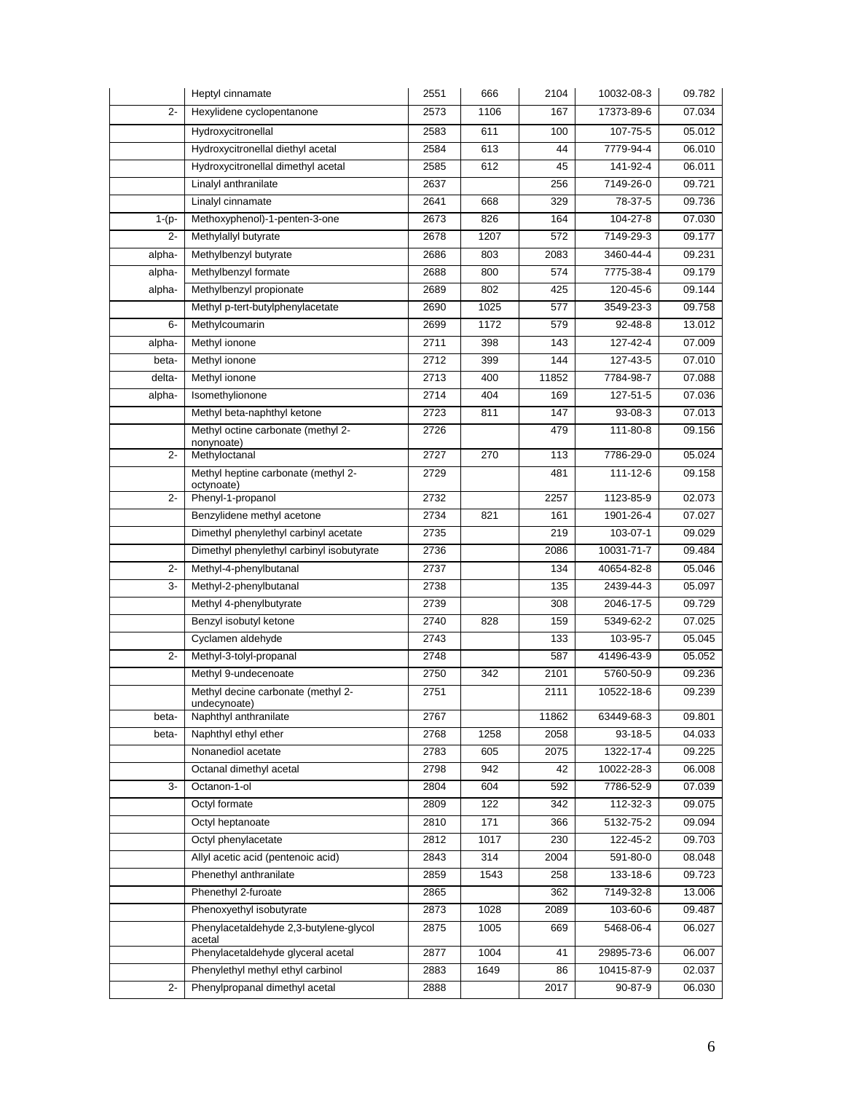|         | Heptyl cinnamate                                   | 2551 | 666  | 2104  | 10032-08-3    | 09.782 |
|---------|----------------------------------------------------|------|------|-------|---------------|--------|
| $2 -$   | Hexylidene cyclopentanone                          | 2573 | 1106 | 167   | 17373-89-6    | 07.034 |
|         | Hydroxycitronellal                                 | 2583 | 611  | 100   | 107-75-5      | 05.012 |
|         | Hydroxycitronellal diethyl acetal                  | 2584 | 613  | 44    | 7779-94-4     | 06.010 |
|         | Hydroxycitronellal dimethyl acetal                 | 2585 | 612  | 45    | 141-92-4      | 06.011 |
|         | Linalyl anthranilate                               | 2637 |      | 256   | 7149-26-0     | 09.721 |
|         | Linalyl cinnamate                                  | 2641 | 668  | 329   | 78-37-5       | 09.736 |
| $1-(p-$ | Methoxyphenol)-1-penten-3-one                      | 2673 | 826  | 164   | 104-27-8      | 07.030 |
| $2 -$   | Methylallyl butyrate                               | 2678 | 1207 | 572   | 7149-29-3     | 09.177 |
| alpha-  | Methylbenzyl butyrate                              | 2686 | 803  | 2083  | 3460-44-4     | 09.231 |
| alpha-  | Methylbenzyl formate                               | 2688 | 800  | 574   | 7775-38-4     | 09.179 |
| alpha-  | Methylbenzyl propionate                            | 2689 | 802  | 425   | 120-45-6      | 09.144 |
|         | Methyl p-tert-butylphenylacetate                   | 2690 | 1025 | 577   | 3549-23-3     | 09.758 |
| $6-$    | Methylcoumarin                                     | 2699 | 1172 | 579   | $92 - 48 - 8$ | 13.012 |
| alpha-  | Methyl ionone                                      | 2711 | 398  | 143   | 127-42-4      | 07.009 |
| beta-   | Methyl ionone                                      | 2712 | 399  | 144   | 127-43-5      | 07.010 |
| delta-  | Methyl ionone                                      | 2713 | 400  | 11852 | 7784-98-7     | 07.088 |
| alpha-  | Isomethylionone                                    | 2714 | 404  | 169   | 127-51-5      | 07.036 |
|         | Methyl beta-naphthyl ketone                        | 2723 | 811  | 147   | 93-08-3       | 07.013 |
|         | Methyl octine carbonate (methyl 2-                 | 2726 |      | 479   | 111-80-8      | 09.156 |
| $2-$    | nonynoate)<br>Methyloctanal                        | 2727 | 270  | 113   | 7786-29-0     | 05.024 |
|         | Methyl heptine carbonate (methyl 2-                | 2729 |      | 481   | 111-12-6      | 09.158 |
|         | octynoate)                                         |      |      |       |               |        |
| $2 -$   | Phenyl-1-propanol                                  | 2732 |      | 2257  | 1123-85-9     | 02.073 |
|         | Benzylidene methyl acetone                         | 2734 | 821  | 161   | 1901-26-4     | 07.027 |
|         | Dimethyl phenylethyl carbinyl acetate              | 2735 |      | 219   | 103-07-1      | 09.029 |
|         | Dimethyl phenylethyl carbinyl isobutyrate          | 2736 |      | 2086  | 10031-71-7    | 09.484 |
| $2 -$   | Methyl-4-phenylbutanal                             | 2737 |      | 134   | 40654-82-8    | 05.046 |
| 3-      | Methyl-2-phenylbutanal                             | 2738 |      | 135   | 2439-44-3     | 05.097 |
|         | Methyl 4-phenylbutyrate                            | 2739 |      | 308   | 2046-17-5     | 09.729 |
|         | Benzyl isobutyl ketone                             | 2740 | 828  | 159   | 5349-62-2     | 07.025 |
|         | Cyclamen aldehyde                                  | 2743 |      | 133   | 103-95-7      | 05.045 |
| $2 -$   | Methyl-3-tolyl-propanal                            | 2748 |      | 587   | 41496-43-9    | 05.052 |
|         | Methyl 9-undecenoate                               | 2750 | 342  | 2101  | 5760-50-9     | 09.236 |
|         | Methyl decine carbonate (methyl 2-<br>undecynoate) | 2751 |      | 2111  | 10522-18-6    | 09.239 |
| beta-   | Naphthyl anthranilate                              | 2767 |      | 11862 | 63449-68-3    | 09.801 |
| beta-   | Naphthyl ethyl ether                               | 2768 | 1258 | 2058  | 93-18-5       | 04.033 |
|         | Nonanediol acetate                                 | 2783 | 605  | 2075  | 1322-17-4     | 09.225 |
|         | Octanal dimethyl acetal                            | 2798 | 942  | 42    | 10022-28-3    | 06.008 |
| 3-      | Octanon-1-ol                                       | 2804 | 604  | 592   | 7786-52-9     | 07.039 |
|         | Octyl formate                                      | 2809 | 122  | 342   | 112-32-3      | 09.075 |
|         | Octyl heptanoate                                   | 2810 | 171  | 366   | 5132-75-2     | 09.094 |
|         | Octyl phenylacetate                                | 2812 | 1017 | 230   | 122-45-2      | 09.703 |
|         | Allyl acetic acid (pentenoic acid)                 | 2843 | 314  | 2004  | 591-80-0      | 08.048 |
|         | Phenethyl anthranilate                             | 2859 | 1543 | 258   | 133-18-6      | 09.723 |
|         | Phenethyl 2-furoate                                | 2865 |      | 362   | 7149-32-8     | 13.006 |
|         | Phenoxyethyl isobutyrate                           | 2873 | 1028 | 2089  | 103-60-6      | 09.487 |
|         | Phenylacetaldehyde 2,3-butylene-glycol             | 2875 | 1005 | 669   | 5468-06-4     | 06.027 |
|         | acetal<br>Phenylacetaldehyde glyceral acetal       | 2877 | 1004 | 41    | 29895-73-6    | 06.007 |
|         | Phenylethyl methyl ethyl carbinol                  | 2883 | 1649 | 86    | 10415-87-9    | 02.037 |
| $2 -$   | Phenylpropanal dimethyl acetal                     | 2888 |      | 2017  | 90-87-9       | 06.030 |
|         |                                                    |      |      |       |               |        |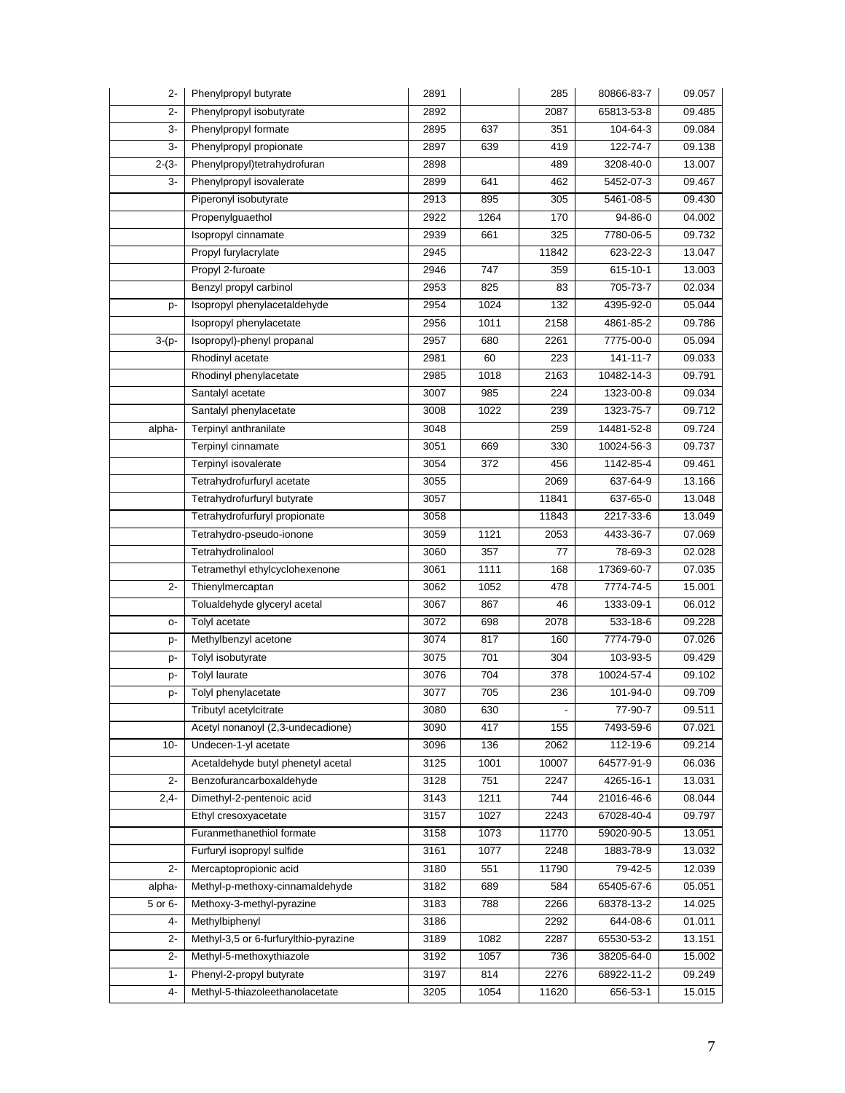| $2 -$   | Phenylpropyl butyrate                 | 2891 |      | 285   | 80866-83-7     | 09.057 |
|---------|---------------------------------------|------|------|-------|----------------|--------|
| $2-$    | Phenylpropyl isobutyrate              | 2892 |      | 2087  | 65813-53-8     | 09.485 |
| 3-      | Phenylpropyl formate                  | 2895 | 637  | 351   | 104-64-3       | 09.084 |
| 3-      | Phenylpropyl propionate               | 2897 | 639  | 419   | 122-74-7       | 09.138 |
| $2-(3-$ | Phenylpropyl)tetrahydrofuran          | 2898 |      | 489   | 3208-40-0      | 13.007 |
| 3-      | Phenylpropyl isovalerate              | 2899 | 641  | 462   | 5452-07-3      | 09.467 |
|         | Piperonyl isobutyrate                 | 2913 | 895  | 305   | 5461-08-5      | 09.430 |
|         | Propenylguaethol                      | 2922 | 1264 | 170   | 94-86-0        | 04.002 |
|         | Isopropyl cinnamate                   | 2939 | 661  | 325   | 7780-06-5      | 09.732 |
|         | Propyl furylacrylate                  | 2945 |      | 11842 | 623-22-3       | 13.047 |
|         | Propyl 2-furoate                      | 2946 | 747  | 359   | 615-10-1       | 13.003 |
|         | Benzyl propyl carbinol                | 2953 | 825  | 83    | 705-73-7       | 02.034 |
| p-      | Isopropyl phenylacetaldehyde          | 2954 | 1024 | 132   | 4395-92-0      | 05.044 |
|         | Isopropyl phenylacetate               | 2956 | 1011 | 2158  | 4861-85-2      | 09.786 |
| $3-(p-$ | Isopropyl)-phenyl propanal            | 2957 | 680  | 2261  | 7775-00-0      | 05.094 |
|         | Rhodinyl acetate                      | 2981 | 60   | 223   | $141 - 11 - 7$ | 09.033 |
|         | Rhodinyl phenylacetate                | 2985 | 1018 | 2163  | 10482-14-3     | 09.791 |
|         | Santalyl acetate                      | 3007 | 985  | 224   | 1323-00-8      | 09.034 |
|         | Santalyl phenylacetate                | 3008 | 1022 | 239   | 1323-75-7      | 09.712 |
| alpha-  | Terpinyl anthranilate                 | 3048 |      | 259   | 14481-52-8     | 09.724 |
|         | Terpinyl cinnamate                    | 3051 | 669  | 330   | 10024-56-3     | 09.737 |
|         | Terpinyl isovalerate                  | 3054 | 372  | 456   | 1142-85-4      | 09.461 |
|         | Tetrahydrofurfuryl acetate            | 3055 |      | 2069  | 637-64-9       | 13.166 |
|         | Tetrahydrofurfuryl butyrate           | 3057 |      | 11841 | 637-65-0       | 13.048 |
|         | Tetrahydrofurfuryl propionate         | 3058 |      | 11843 | 2217-33-6      | 13.049 |
|         | Tetrahydro-pseudo-ionone              | 3059 | 1121 | 2053  | 4433-36-7      | 07.069 |
|         | Tetrahydrolinalool                    | 3060 | 357  | 77    | 78-69-3        | 02.028 |
|         | Tetramethyl ethylcyclohexenone        | 3061 | 1111 | 168   | 17369-60-7     | 07.035 |
| $2 -$   | Thienylmercaptan                      | 3062 | 1052 | 478   | 7774-74-5      | 15.001 |
|         | Tolualdehyde glyceryl acetal          | 3067 | 867  | 46    | 1333-09-1      | 06.012 |
| $O-$    | Tolyl acetate                         | 3072 | 698  | 2078  | 533-18-6       | 09.228 |
| p-      | Methylbenzyl acetone                  | 3074 | 817  | 160   | 7774-79-0      | 07.026 |
| p-      | Tolyl isobutyrate                     | 3075 | 701  | 304   | 103-93-5       | 09.429 |
| p-      | <b>Tolyl laurate</b>                  | 3076 | 704  | 378   | 10024-57-4     | 09.102 |
| p-      | Tolyl phenylacetate                   | 3077 | 705  | 236   | 101-94-0       | 09.709 |
|         | Tributyl acetylcitrate                | 3080 | 630  |       | 77-90-7        | 09.511 |
|         | Acetyl nonanoyl (2,3-undecadione)     | 3090 | 417  | 155   | 7493-59-6      | 07.021 |
| $10-$   | Undecen-1-yl acetate                  | 3096 | 136  | 2062  | 112-19-6       | 09.214 |
|         | Acetaldehyde butyl phenetyl acetal    | 3125 | 1001 | 10007 | 64577-91-9     | 06.036 |
| $2 -$   | Benzofurancarboxaldehyde              | 3128 | 751  | 2247  | 4265-16-1      | 13.031 |
| $2,4-$  | Dimethyl-2-pentenoic acid             | 3143 | 1211 | 744   | 21016-46-6     | 08.044 |
|         | Ethyl cresoxyacetate                  | 3157 | 1027 | 2243  | 67028-40-4     | 09.797 |
|         | Furanmethanethiol formate             | 3158 | 1073 | 11770 | 59020-90-5     | 13.051 |
|         | Furfuryl isopropyl sulfide            | 3161 | 1077 | 2248  | 1883-78-9      | 13.032 |
| $2 -$   | Mercaptopropionic acid                | 3180 | 551  | 11790 | 79-42-5        | 12.039 |
| alpha-  | Methyl-p-methoxy-cinnamaldehyde       | 3182 | 689  | 584   | 65405-67-6     | 05.051 |
| 5 or 6- | Methoxy-3-methyl-pyrazine             | 3183 | 788  | 2266  | 68378-13-2     | 14.025 |
| 4-      | Methylbiphenyl                        | 3186 |      | 2292  | 644-08-6       | 01.011 |
| $2-$    | Methyl-3,5 or 6-furfurylthio-pyrazine | 3189 | 1082 | 2287  | 65530-53-2     | 13.151 |
| $2-$    | Methyl-5-methoxythiazole              | 3192 | 1057 | 736   | 38205-64-0     | 15.002 |
| $1 -$   | Phenyl-2-propyl butyrate              | 3197 | 814  | 2276  | 68922-11-2     | 09.249 |
| $4-$    | Methyl-5-thiazoleethanolacetate       | 3205 | 1054 | 11620 | 656-53-1       | 15.015 |
|         |                                       |      |      |       |                |        |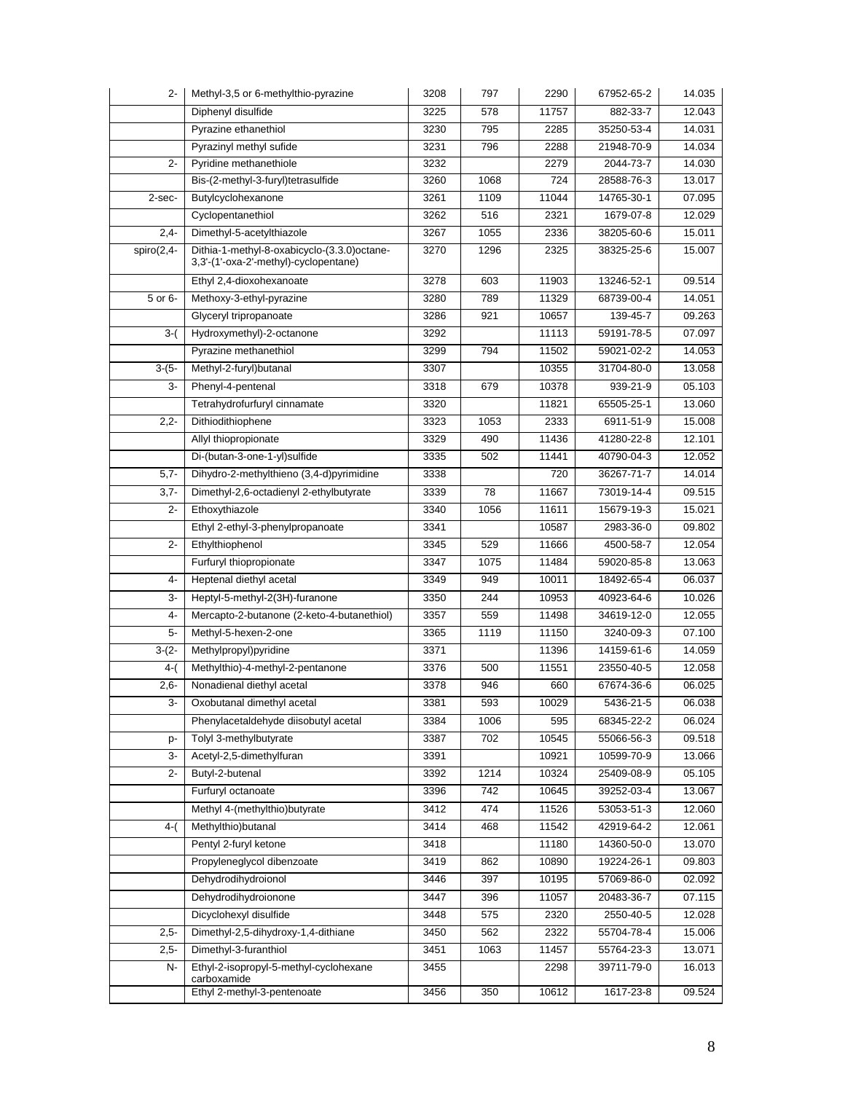| $2 -$        | Methyl-3,5 or 6-methylthio-pyrazine                                                  | 3208 | 797  | 2290  | 67952-65-2                             | 14.035 |
|--------------|--------------------------------------------------------------------------------------|------|------|-------|----------------------------------------|--------|
|              | Diphenyl disulfide                                                                   | 3225 | 578  | 11757 | 882-33-7                               | 12.043 |
|              | Pyrazine ethanethiol                                                                 | 3230 | 795  | 2285  | 35250-53-4                             | 14.031 |
|              | Pyrazinyl methyl sufide                                                              | 3231 | 796  | 2288  | 21948-70-9                             | 14.034 |
| $2 -$        | Pyridine methanethiole                                                               | 3232 |      | 2279  | 2044-73-7                              | 14.030 |
|              | Bis-(2-methyl-3-furyl)tetrasulfide                                                   | 3260 | 1068 | 724   | 28588-76-3                             | 13.017 |
| 2-sec-       | Butylcyclohexanone                                                                   | 3261 | 1109 | 11044 | 14765-30-1                             | 07.095 |
|              | Cyclopentanethiol                                                                    | 3262 | 516  | 2321  | 1679-07-8                              | 12.029 |
| $2,4-$       | Dimethyl-5-acetylthiazole                                                            | 3267 | 1055 | 2336  | 38205-60-6                             | 15.011 |
| $spiro(2,4-$ | Dithia-1-methyl-8-oxabicyclo-(3.3.0)octane-<br>3,3'-(1'-oxa-2'-methyl)-cyclopentane) | 3270 | 1296 | 2325  | 38325-25-6                             | 15.007 |
|              | Ethyl 2,4-dioxohexanoate                                                             | 3278 | 603  | 11903 | 13246-52-1                             | 09.514 |
| 5 or 6-      | Methoxy-3-ethyl-pyrazine                                                             | 3280 | 789  | 11329 | 68739-00-4                             | 14.051 |
|              | Glyceryl tripropanoate                                                               | 3286 | 921  | 10657 | 139-45-7                               | 09.263 |
| $3-($        | Hydroxymethyl)-2-octanone                                                            | 3292 |      | 11113 | $\overline{59191} - \overline{78} - 5$ | 07.097 |
|              | Pyrazine methanethiol                                                                | 3299 | 794  | 11502 | 59021-02-2                             | 14.053 |
| $3-(5-$      | Methyl-2-furyl)butanal                                                               | 3307 |      | 10355 | 31704-80-0                             | 13.058 |
| 3-           | Phenyl-4-pentenal                                                                    | 3318 | 679  | 10378 | 939-21-9                               | 05.103 |
|              | Tetrahydrofurfuryl cinnamate                                                         | 3320 |      | 11821 | 65505-25-1                             | 13.060 |
| $2,2-$       | Dithiodithiophene                                                                    | 3323 | 1053 | 2333  | 6911-51-9                              | 15.008 |
|              | Allyl thiopropionate                                                                 | 3329 | 490  | 11436 | 41280-22-8                             | 12.101 |
|              | Di-(butan-3-one-1-yl)sulfide                                                         | 3335 | 502  | 11441 | 40790-04-3                             | 12.052 |
| $5,7-$       | Dihydro-2-methylthieno (3,4-d)pyrimidine                                             | 3338 |      | 720   | 36267-71-7                             | 14.014 |
| $3,7-$       | Dimethyl-2,6-octadienyl 2-ethylbutyrate                                              | 3339 | 78   | 11667 | 73019-14-4                             | 09.515 |
| $2 -$        | Ethoxythiazole                                                                       | 3340 | 1056 | 11611 | 15679-19-3                             | 15.021 |
|              | Ethyl 2-ethyl-3-phenylpropanoate                                                     | 3341 |      | 10587 | 2983-36-0                              | 09.802 |
| $2 -$        | Ethylthiophenol                                                                      | 3345 | 529  | 11666 | 4500-58-7                              | 12.054 |
|              | Furfuryl thiopropionate                                                              | 3347 | 1075 | 11484 | 59020-85-8                             | 13.063 |
| 4-           | Heptenal diethyl acetal                                                              | 3349 | 949  | 10011 | 18492-65-4                             | 06.037 |
| 3-           | Heptyl-5-methyl-2(3H)-furanone                                                       | 3350 | 244  | 10953 | 40923-64-6                             | 10.026 |
| $4-$         | Mercapto-2-butanone (2-keto-4-butanethiol)                                           | 3357 | 559  | 11498 | 34619-12-0                             | 12.055 |
| $5-$         | Methyl-5-hexen-2-one                                                                 | 3365 | 1119 | 11150 | 3240-09-3                              | 07.100 |
| $3-(2-$      | Methylpropyl)pyridine                                                                | 3371 |      | 11396 | 14159-61-6                             | 14.059 |
| 4-(          | Methylthio)-4-methyl-2-pentanone                                                     | 3376 | 500  | 11551 | 23550-40-5                             | 12.058 |
| $2,6-$       | Nonadienal diethyl acetal                                                            | 3378 | 946  | 660   | 67674-36-6                             | 06.025 |
| 3-           | Oxobutanal dimethyl acetal                                                           | 3381 | 593  | 10029 | 5436-21-5                              | 06.038 |
|              | Phenylacetaldehyde diisobutyl acetal                                                 | 3384 | 1006 | 595   | 68345-22-2                             | 06.024 |
| p-           | Tolyl 3-methylbutyrate                                                               | 3387 | 702  | 10545 | 55066-56-3                             | 09.518 |
| 3-           | Acetyl-2,5-dimethylfuran                                                             | 3391 |      | 10921 | 10599-70-9                             | 13.066 |
| 2-           | Butyl-2-butenal                                                                      | 3392 | 1214 | 10324 | 25409-08-9                             | 05.105 |
|              | Furfuryl octanoate                                                                   | 3396 | 742  | 10645 | 39252-03-4                             | 13.067 |
|              | Methyl 4-(methylthio)butyrate                                                        | 3412 | 474  | 11526 | 53053-51-3                             | 12.060 |
| 4-(          | Methylthio)butanal                                                                   | 3414 | 468  | 11542 | 42919-64-2                             | 12.061 |
|              | Pentyl 2-furyl ketone                                                                | 3418 |      | 11180 | 14360-50-0                             | 13.070 |
|              | Propyleneglycol dibenzoate                                                           | 3419 | 862  | 10890 | 19224-26-1                             | 09.803 |
|              | Dehydrodihydroionol                                                                  | 3446 | 397  | 10195 | 57069-86-0                             | 02.092 |
|              | Dehydrodihydroionone                                                                 | 3447 | 396  | 11057 | 20483-36-7                             | 07.115 |
|              | Dicyclohexyl disulfide                                                               | 3448 | 575  | 2320  | 2550-40-5                              | 12.028 |
| $2,5-$       | Dimethyl-2,5-dihydroxy-1,4-dithiane                                                  | 3450 | 562  | 2322  | 55704-78-4                             | 15.006 |
| $2,5-$       | Dimethyl-3-furanthiol                                                                | 3451 | 1063 | 11457 | 55764-23-3                             | 13.071 |
| N-           | Ethyl-2-isopropyl-5-methyl-cyclohexane<br>carboxamide                                | 3455 |      | 2298  | 39711-79-0                             | 16.013 |
|              | Ethyl 2-methyl-3-pentenoate                                                          | 3456 | 350  | 10612 | 1617-23-8                              | 09.524 |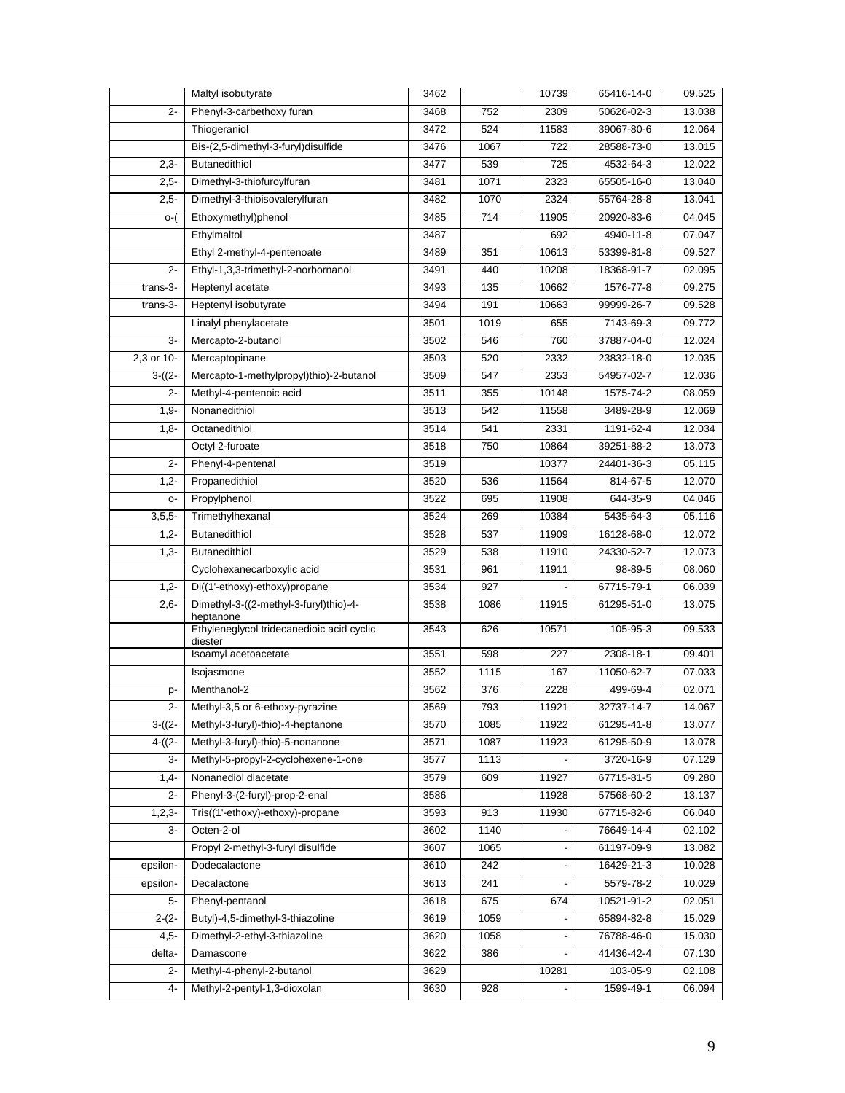|            | Maltyl isobutyrate                                   | 3462 |      | 10739 | 65416-14-0 | 09.525 |
|------------|------------------------------------------------------|------|------|-------|------------|--------|
| $2 -$      | Phenyl-3-carbethoxy furan                            | 3468 | 752  | 2309  | 50626-02-3 | 13.038 |
|            | Thiogeraniol                                         | 3472 | 524  | 11583 | 39067-80-6 | 12.064 |
|            | Bis-(2,5-dimethyl-3-furyl)disulfide                  | 3476 | 1067 | 722   | 28588-73-0 | 13.015 |
| $2,3-$     | Butanedithiol                                        | 3477 | 539  | 725   | 4532-64-3  | 12.022 |
| $2,5-$     | Dimethyl-3-thiofuroylfuran                           | 3481 | 1071 | 2323  | 65505-16-0 | 13.040 |
| $2,5-$     | Dimethyl-3-thioisovalerylfuran                       | 3482 | 1070 | 2324  | 55764-28-8 | 13.041 |
| o-(        | Ethoxymethyl)phenol                                  | 3485 | 714  | 11905 | 20920-83-6 | 04.045 |
|            | Ethylmaltol                                          | 3487 |      | 692   | 4940-11-8  | 07.047 |
|            | Ethyl 2-methyl-4-pentenoate                          | 3489 | 351  | 10613 | 53399-81-8 | 09.527 |
| $2 -$      | Ethyl-1,3,3-trimethyl-2-norbornanol                  | 3491 | 440  | 10208 | 18368-91-7 | 02.095 |
| trans-3-   | Heptenyl acetate                                     | 3493 | 135  | 10662 | 1576-77-8  | 09.275 |
| trans-3-   | Heptenyl isobutyrate                                 | 3494 | 191  | 10663 | 99999-26-7 | 09.528 |
|            | Linalyl phenylacetate                                | 3501 | 1019 | 655   | 7143-69-3  | 09.772 |
| 3-         | Mercapto-2-butanol                                   | 3502 | 546  | 760   | 37887-04-0 | 12.024 |
| 2,3 or 10- | Mercaptopinane                                       | 3503 | 520  | 2332  | 23832-18-0 | 12.035 |
| $3-(2-$    | Mercapto-1-methylpropyl)thio)-2-butanol              | 3509 | 547  | 2353  | 54957-02-7 | 12.036 |
| $2 -$      | Methyl-4-pentenoic acid                              | 3511 | 355  | 10148 | 1575-74-2  | 08.059 |
| $1,9-$     | Nonanedithiol                                        | 3513 | 542  | 11558 | 3489-28-9  | 12.069 |
| $1,8-$     | Octanedithiol                                        | 3514 | 541  | 2331  | 1191-62-4  | 12.034 |
|            | Octyl 2-furoate                                      | 3518 | 750  | 10864 | 39251-88-2 | 13.073 |
| $2 -$      | Phenyl-4-pentenal                                    | 3519 |      | 10377 | 24401-36-3 | 05.115 |
| $1,2-$     | Propanedithiol                                       | 3520 | 536  | 11564 | 814-67-5   | 12.070 |
| о-         | Propylphenol                                         | 3522 | 695  | 11908 | 644-35-9   | 04.046 |
| $3,5,5$ -  | Trimethylhexanal                                     | 3524 | 269  | 10384 | 5435-64-3  | 05.116 |
| $1,2-$     | Butanedithiol                                        | 3528 | 537  | 11909 | 16128-68-0 | 12.072 |
| $1,3-$     | Butanedithiol                                        | 3529 | 538  | 11910 | 24330-52-7 | 12.073 |
|            | Cyclohexanecarboxylic acid                           | 3531 | 961  | 11911 | 98-89-5    | 08.060 |
| $1,2-$     | Di((1'-ethoxy)-ethoxy)propane                        | 3534 | 927  |       | 67715-79-1 | 06.039 |
| $2,6-$     | Dimethyl-3-((2-methyl-3-furyl)thio)-4-<br>heptanone  | 3538 | 1086 | 11915 | 61295-51-0 | 13.075 |
|            | Ethyleneglycol tridecanedioic acid cyclic<br>diester | 3543 | 626  | 10571 | 105-95-3   | 09.533 |
|            | Isoamyl acetoacetate                                 | 3551 | 598  | 227   | 2308-18-1  | 09.401 |
|            | Isojasmone                                           | 3552 | 1115 | 167   | 11050-62-7 | 07.033 |
| p-         | Menthanol-2                                          | 3562 | 376  | 2228  | 499-69-4   | 02.071 |
| $2 -$      | Methyl-3,5 or 6-ethoxy-pyrazine                      | 3569 | 793  | 11921 | 32737-14-7 | 14.067 |
| $3-(2-$    | Methyl-3-furyl)-thio)-4-heptanone                    | 3570 | 1085 | 11922 | 61295-41-8 | 13.077 |
| $4-(2-$    | Methyl-3-furyl)-thio)-5-nonanone                     | 3571 | 1087 | 11923 | 61295-50-9 | 13.078 |
| 3-         | Methyl-5-propyl-2-cyclohexene-1-one                  | 3577 | 1113 |       | 3720-16-9  | 07.129 |
| $1,4-$     | Nonanediol diacetate                                 | 3579 | 609  | 11927 | 67715-81-5 | 09.280 |
| $2-$       | Phenyl-3-(2-furyl)-prop-2-enal                       | 3586 |      | 11928 | 57568-60-2 | 13.137 |
| $1, 2, 3-$ | Tris((1'-ethoxy)-ethoxy)-propane                     | 3593 | 913  | 11930 | 67715-82-6 | 06.040 |
| 3-         | Octen-2-ol                                           | 3602 | 1140 |       | 76649-14-4 | 02.102 |
|            | Propyl 2-methyl-3-furyl disulfide                    | 3607 | 1065 |       | 61197-09-9 | 13.082 |
| epsilon-   | Dodecalactone                                        | 3610 | 242  |       | 16429-21-3 | 10.028 |
| epsilon-   | Decalactone                                          | 3613 | 241  |       | 5579-78-2  | 10.029 |
| 5-         | Phenyl-pentanol                                      | 3618 | 675  | 674   | 10521-91-2 | 02.051 |
| $2-(2-$    | Butyl)-4,5-dimethyl-3-thiazoline                     | 3619 | 1059 |       | 65894-82-8 | 15.029 |
| $4,5-$     | Dimethyl-2-ethyl-3-thiazoline                        | 3620 | 1058 |       | 76788-46-0 | 15.030 |
| delta-     | Damascone                                            | 3622 | 386  |       | 41436-42-4 | 07.130 |
| $2 -$      | Methyl-4-phenyl-2-butanol                            | 3629 |      | 10281 | 103-05-9   | 02.108 |
| 4-         | Methyl-2-pentyl-1,3-dioxolan                         | 3630 | 928  |       | 1599-49-1  | 06.094 |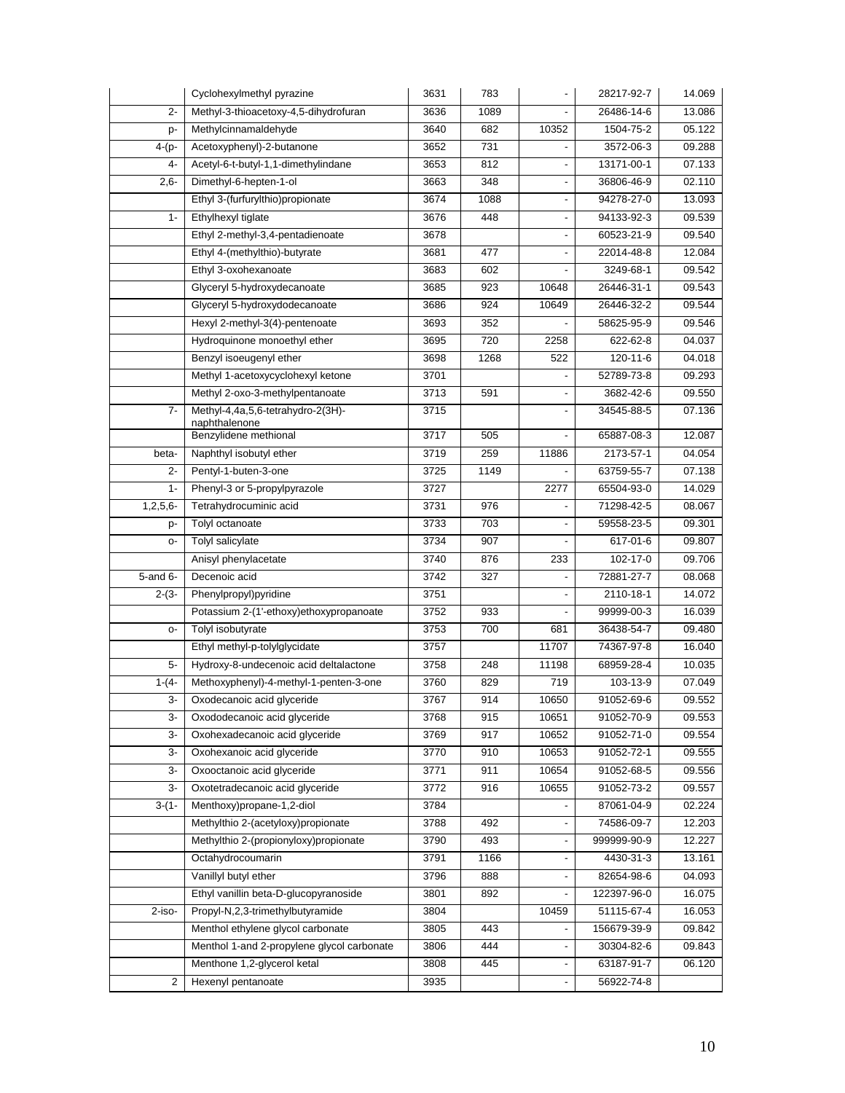|             | Cyclohexylmethyl pyrazine                  | 3631 | 783  |                          | 28217-92-7               | 14.069 |
|-------------|--------------------------------------------|------|------|--------------------------|--------------------------|--------|
| $2 -$       | Methyl-3-thioacetoxy-4,5-dihydrofuran      | 3636 | 1089 |                          | 26486-14-6               | 13.086 |
| p-          | Methylcinnamaldehyde                       | 3640 | 682  | 10352                    | 1504-75-2                | 05.122 |
| $4-(p-$     | Acetoxyphenyl)-2-butanone                  | 3652 | 731  |                          | 3572-06-3                | 09.288 |
| 4-          | Acetyl-6-t-butyl-1,1-dimethylindane        | 3653 | 812  |                          | 13171-00-1               | 07.133 |
| $2,6-$      | Dimethyl-6-hepten-1-ol                     | 3663 | 348  |                          | 36806-46-9               | 02.110 |
|             | Ethyl 3-(furfurylthio)propionate           | 3674 | 1088 | $\blacksquare$           | 94278-27-0               | 13.093 |
| $1 -$       | Ethylhexyl tiglate                         | 3676 | 448  |                          | 94133-92-3               | 09.539 |
|             | Ethyl 2-methyl-3,4-pentadienoate           | 3678 |      |                          | 60523-21-9               | 09.540 |
|             | Ethyl 4-(methylthio)-butyrate              | 3681 | 477  |                          | 22014-48-8               | 12.084 |
|             | Ethyl 3-oxohexanoate                       | 3683 | 602  |                          | 3249-68-1                | 09.542 |
|             | Glyceryl 5-hydroxydecanoate                | 3685 | 923  | 10648                    | 26446-31-1               | 09.543 |
|             | Glyceryl 5-hydroxydodecanoate              | 3686 | 924  | 10649                    | 26446-32-2               | 09.544 |
|             | Hexyl 2-methyl-3(4)-pentenoate             | 3693 | 352  |                          | 58625-95-9               | 09.546 |
|             | Hydroquinone monoethyl ether               | 3695 | 720  | 2258                     | 622-62-8                 | 04.037 |
|             | Benzyl isoeugenyl ether                    | 3698 | 1268 | 522                      | 120-11-6                 | 04.018 |
|             | Methyl 1-acetoxycyclohexyl ketone          | 3701 |      |                          | 52789-73-8               | 09.293 |
|             | Methyl 2-oxo-3-methylpentanoate            | 3713 | 591  |                          | 3682-42-6                | 09.550 |
| $7-$        | Methyl-4,4a,5,6-tetrahydro-2(3H)-          | 3715 |      |                          | 34545-88-5               | 07.136 |
|             | naphthalenone<br>Benzylidene methional     | 3717 | 505  |                          | 65887-08-3               | 12.087 |
| beta-       | Naphthyl isobutyl ether                    | 3719 | 259  | 11886                    | 2173-57-1                | 04.054 |
| 2-          | Pentyl-1-buten-3-one                       | 3725 | 1149 |                          | 63759-55-7               | 07.138 |
| $1 -$       | Phenyl-3 or 5-propylpyrazole               | 3727 |      |                          |                          | 14.029 |
|             | Tetrahydrocuminic acid                     | 3731 | 976  | 2277                     | 65504-93-0<br>71298-42-5 | 08.067 |
| $1,2,5,6$ - |                                            |      |      |                          |                          |        |
| p-          | Tolyl octanoate                            | 3733 | 703  |                          | 59558-23-5               | 09.301 |
| о-          | Tolyl salicylate                           | 3734 | 907  |                          | 617-01-6                 | 09.807 |
|             | Anisyl phenylacetate                       | 3740 | 876  | 233                      | 102-17-0                 | 09.706 |
| 5-and 6-    | Decenoic acid                              | 3742 | 327  |                          | 72881-27-7               | 08.068 |
| $2-(3-$     | Phenylpropyl)pyridine                      | 3751 |      |                          | 2110-18-1                | 14.072 |
|             | Potassium 2-(1'-ethoxy)ethoxypropanoate    | 3752 | 933  |                          | 99999-00-3               | 16.039 |
| о-          | Tolyl isobutyrate                          | 3753 | 700  | 681                      | 36438-54-7<br>74367-97-8 | 09.480 |
|             | Ethyl methyl-p-tolylglycidate              | 3757 |      | 11707                    |                          | 16.040 |
| 5-          | Hydroxy-8-undecenoic acid deltalactone     | 3758 | 248  | 11198                    | 68959-28-4               | 10.035 |
| $1-(4-$     | Methoxyphenyl)-4-methyl-1-penten-3-one     | 3760 | 829  | 719                      | 103-13-9                 | 07.049 |
| 3-          | Oxodecanoic acid glyceride                 | 3767 | 914  | 10650                    | 91052-69-6               | 09.552 |
| 3-          | Oxododecanoic acid glyceride               | 3768 | 915  | 10651                    | 91052-70-9               | 09.553 |
| 3-          | Oxohexadecanoic acid glyceride             | 3769 | 917  | 10652                    | 91052-71-0               | 09.554 |
| 3-          | Oxohexanoic acid glyceride                 | 3770 | 910  | 10653                    | 91052-72-1               | 09.555 |
| 3-          | Oxooctanoic acid glyceride                 | 3771 | 911  | 10654                    | 91052-68-5               | 09.556 |
| 3-          | Oxotetradecanoic acid glyceride            | 3772 | 916  | 10655                    | 91052-73-2               | 09.557 |
| $3-(1-$     | Menthoxy)propane-1,2-diol                  | 3784 |      |                          | 87061-04-9               | 02.224 |
|             | Methylthio 2-(acetyloxy)propionate         | 3788 | 492  |                          | 74586-09-7               | 12.203 |
|             | Methylthio 2-(propionyloxy)propionate      | 3790 | 493  |                          | 999999-90-9              | 12.227 |
|             | Octahydrocoumarin                          | 3791 | 1166 |                          | 4430-31-3                | 13.161 |
|             | Vanillyl butyl ether                       | 3796 | 888  |                          | 82654-98-6               | 04.093 |
|             | Ethyl vanillin beta-D-glucopyranoside      | 3801 | 892  | $\overline{\phantom{a}}$ | 122397-96-0              | 16.075 |
| 2-iso-      | Propyl-N,2,3-trimethylbutyramide           | 3804 |      | 10459                    | 51115-67-4               | 16.053 |
|             | Menthol ethylene glycol carbonate          | 3805 | 443  | $\overline{\phantom{a}}$ | 156679-39-9              | 09.842 |
|             | Menthol 1-and 2-propylene glycol carbonate | 3806 | 444  |                          | 30304-82-6               | 09.843 |
|             | Menthone 1,2-glycerol ketal                | 3808 | 445  |                          | 63187-91-7               | 06.120 |
| 2           | Hexenyl pentanoate                         | 3935 |      |                          | 56922-74-8               |        |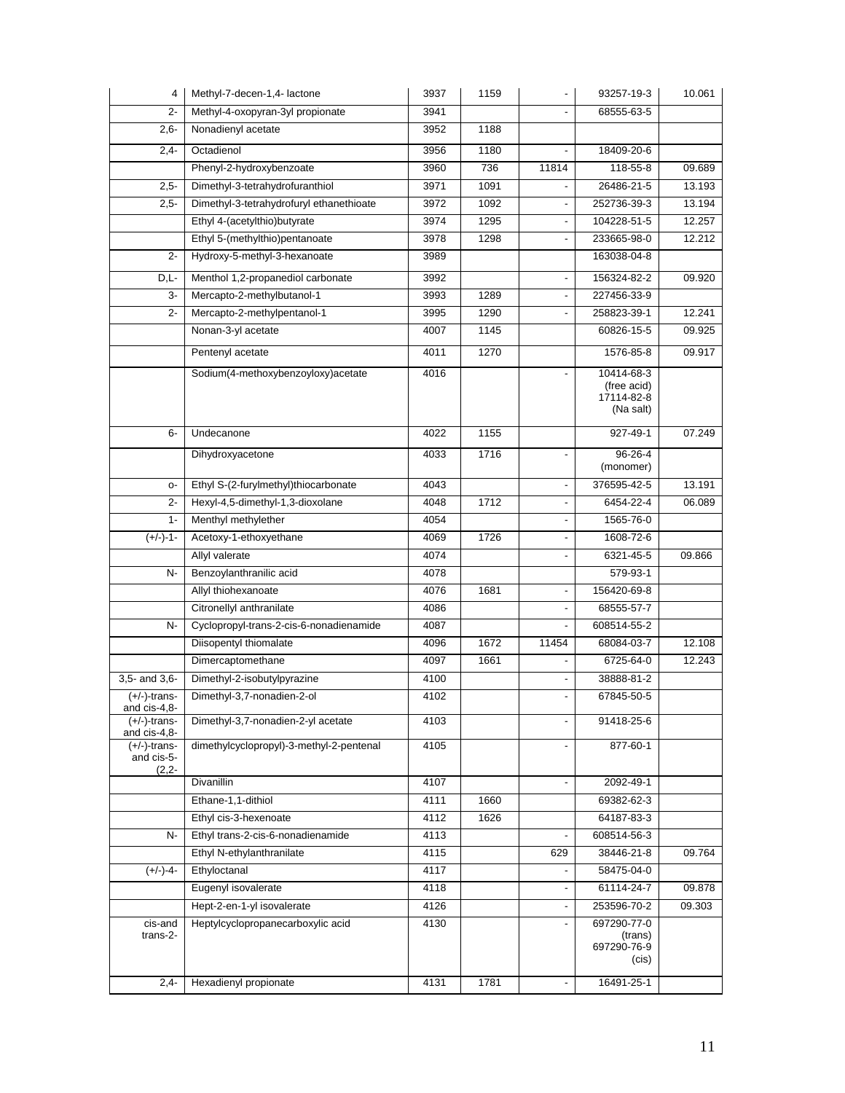| 4                                        | Methyl-7-decen-1,4- lactone              | 3937 | 1159 | $\blacksquare$           | 93257-19-3                | 10.061 |
|------------------------------------------|------------------------------------------|------|------|--------------------------|---------------------------|--------|
| $2 -$                                    | Methyl-4-oxopyran-3yl propionate         | 3941 |      |                          | 68555-63-5                |        |
| $2,6-$                                   | Nonadienyl acetate                       | 3952 | 1188 |                          |                           |        |
| $2,4-$                                   | Octadienol                               | 3956 | 1180 |                          | 18409-20-6                |        |
|                                          | Phenyl-2-hydroxybenzoate                 | 3960 | 736  | 11814                    | 118-55-8                  | 09.689 |
| $2,5-$                                   | Dimethyl-3-tetrahydrofuranthiol          | 3971 | 1091 |                          | 26486-21-5                | 13.193 |
| $2,5-$                                   | Dimethyl-3-tetrahydrofuryl ethanethioate | 3972 | 1092 |                          | 252736-39-3               | 13.194 |
|                                          | Ethyl 4-(acetylthio)butyrate             | 3974 | 1295 |                          | 104228-51-5               | 12.257 |
|                                          | Ethyl 5-(methylthio)pentanoate           | 3978 | 1298 | $\overline{\phantom{a}}$ | 233665-98-0               | 12.212 |
| $2 -$                                    | Hydroxy-5-methyl-3-hexanoate             | 3989 |      |                          | 163038-04-8               |        |
| $D,L$ -                                  | Menthol 1,2-propanediol carbonate        | 3992 |      |                          | 156324-82-2               | 09.920 |
| 3-                                       | Mercapto-2-methylbutanol-1               | 3993 | 1289 |                          | 227456-33-9               |        |
| $2 -$                                    | Mercapto-2-methylpentanol-1              | 3995 | 1290 |                          | 258823-39-1               | 12.241 |
|                                          | Nonan-3-yl acetate                       | 4007 | 1145 |                          | 60826-15-5                | 09.925 |
|                                          | Pentenyl acetate                         | 4011 | 1270 |                          | 1576-85-8                 | 09.917 |
|                                          |                                          |      |      |                          |                           |        |
|                                          | Sodium(4-methoxybenzoyloxy)acetate       | 4016 |      |                          | 10414-68-3<br>(free acid) |        |
|                                          |                                          |      |      |                          | 17114-82-8                |        |
|                                          |                                          |      |      |                          | (Na salt)                 |        |
| 6-                                       | Undecanone                               | 4022 | 1155 |                          | 927-49-1                  | 07.249 |
|                                          | Dihydroxyacetone                         | 4033 | 1716 | $\overline{a}$           | 96-26-4                   |        |
|                                          |                                          |      |      |                          | (monomer)                 |        |
| $O-$                                     | Ethyl S-(2-furylmethyl)thiocarbonate     | 4043 |      |                          | 376595-42-5               | 13.191 |
| $2 -$                                    | Hexyl-4,5-dimethyl-1,3-dioxolane         | 4048 | 1712 |                          | 6454-22-4                 | 06.089 |
| $1 -$                                    | Menthyl methylether                      | 4054 |      | $\overline{\phantom{a}}$ | 1565-76-0                 |        |
| $(+/-)-1-$                               | Acetoxy-1-ethoxyethane                   | 4069 | 1726 | $\blacksquare$           | 1608-72-6                 |        |
|                                          | Allyl valerate                           | 4074 |      |                          | 6321-45-5                 | 09.866 |
| $N-$                                     | Benzoylanthranilic acid                  | 4078 |      |                          | 579-93-1                  |        |
|                                          | Allyl thiohexanoate                      | 4076 | 1681 | $\blacksquare$           | 156420-69-8               |        |
|                                          | Citronellyl anthranilate                 | 4086 |      |                          | 68555-57-7                |        |
| N-                                       | Cyclopropyl-trans-2-cis-6-nonadienamide  | 4087 |      |                          | 608514-55-2               |        |
|                                          | Diisopentyl thiomalate                   | 4096 | 1672 | 11454                    | 68084-03-7                | 12.108 |
|                                          | Dimercaptomethane                        | 4097 | 1661 |                          | 6725-64-0                 | 12.243 |
| 3,5- and 3,6-                            | Dimethyl-2-isobutylpyrazine              | 4100 |      |                          | 38888-81-2                |        |
| $(+/-)$ -trans-                          | Dimethyl-3,7-nonadien-2-ol               | 4102 |      |                          | 67845-50-5                |        |
| and cis-4,8-<br>$(+/-)$ -trans-          | Dimethyl-3,7-nonadien-2-yl acetate       | 4103 |      |                          | 91418-25-6                |        |
| and cis-4,8-                             |                                          |      |      |                          |                           |        |
| $(+/-)$ -trans-<br>and cis-5-<br>$(2,2-$ | dimethylcyclopropyl)-3-methyl-2-pentenal | 4105 |      |                          | 877-60-1                  |        |
|                                          | Divanillin                               | 4107 |      |                          | 2092-49-1                 |        |
|                                          | Ethane-1,1-dithiol                       | 4111 | 1660 |                          | 69382-62-3                |        |
|                                          | Ethyl cis-3-hexenoate                    | 4112 | 1626 |                          | 64187-83-3                |        |
| N-                                       | Ethyl trans-2-cis-6-nonadienamide        | 4113 |      |                          | 608514-56-3               |        |
|                                          | Ethyl N-ethylanthranilate                | 4115 |      | 629                      | 38446-21-8                | 09.764 |
| $(+/-)-4-$                               | Ethyloctanal                             | 4117 |      |                          | 58475-04-0                |        |
|                                          | Eugenyl isovalerate                      | 4118 |      |                          | 61114-24-7                | 09.878 |
|                                          | Hept-2-en-1-yl isovalerate               | 4126 |      |                          | 253596-70-2               | 09.303 |
| cis-and                                  | Heptylcyclopropanecarboxylic acid        | 4130 |      |                          | 697290-77-0               |        |
| trans-2-                                 |                                          |      |      |                          | (trans)<br>697290-76-9    |        |
|                                          |                                          |      |      |                          | (cis)                     |        |
| $2,4-$                                   | Hexadienyl propionate                    | 4131 | 1781 |                          | 16491-25-1                |        |
|                                          |                                          |      |      |                          |                           |        |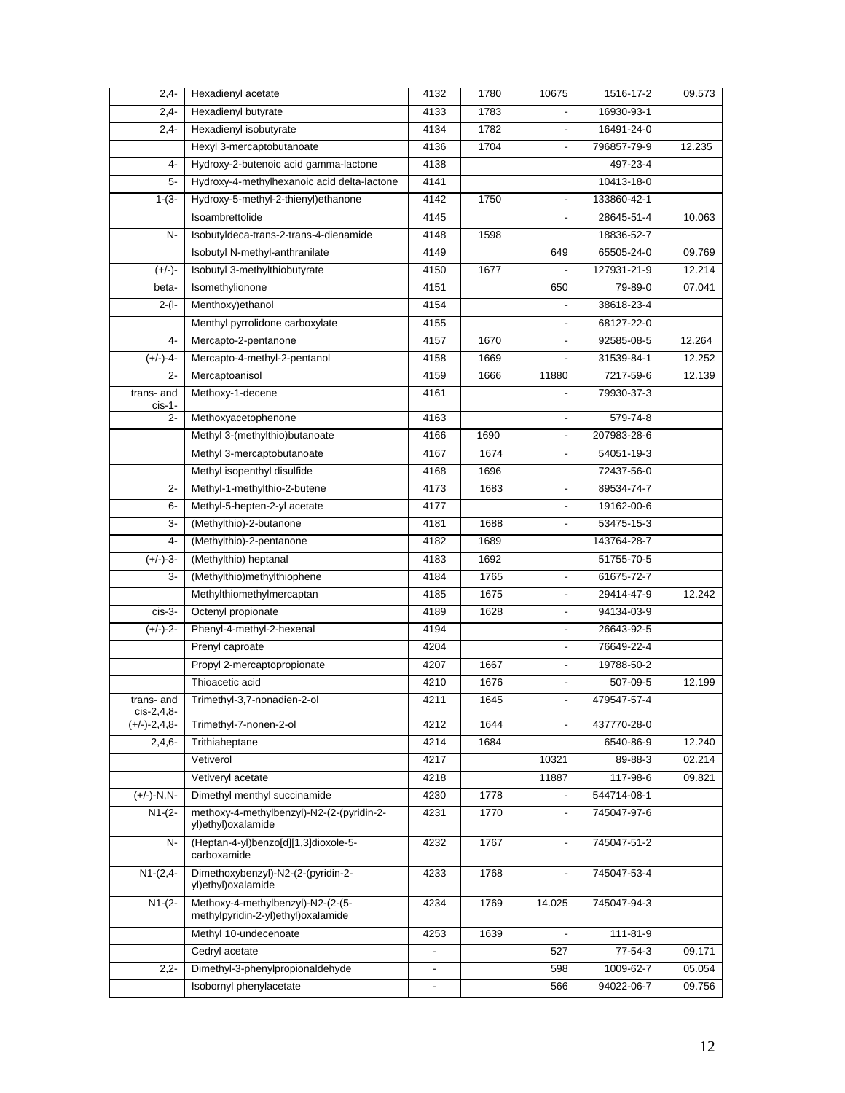| $2,4-$         | Hexadienyl acetate                                                      | 4132                     | 1780 | 10675                    | 1516-17-2   | 09.573 |
|----------------|-------------------------------------------------------------------------|--------------------------|------|--------------------------|-------------|--------|
| $2,4-$         | Hexadienyl butyrate                                                     | 4133                     | 1783 |                          | 16930-93-1  |        |
| $2,4-$         | Hexadienyl isobutyrate                                                  | 4134                     | 1782 |                          | 16491-24-0  |        |
|                | Hexyl 3-mercaptobutanoate                                               | 4136                     | 1704 |                          | 796857-79-9 | 12.235 |
| 4-             | Hydroxy-2-butenoic acid gamma-lactone                                   | 4138                     |      |                          | 497-23-4    |        |
| 5-             | Hydroxy-4-methylhexanoic acid delta-lactone                             | 4141                     |      |                          | 10413-18-0  |        |
| $1-(3-$        | Hydroxy-5-methyl-2-thienyl)ethanone                                     | 4142                     | 1750 | $\overline{a}$           | 133860-42-1 |        |
|                | Isoambrettolide                                                         | 4145                     |      |                          | 28645-51-4  | 10.063 |
| $N-$           | IsobutyIdeca-trans-2-trans-4-dienamide                                  | 4148                     | 1598 |                          | 18836-52-7  |        |
|                | Isobutyl N-methyl-anthranilate                                          | 4149                     |      | 649                      | 65505-24-0  | 09.769 |
| $(+/-)$ -      | Isobutyl 3-methylthiobutyrate                                           | 4150                     | 1677 |                          | 127931-21-9 | 12.214 |
| beta-          | Isomethylionone                                                         | 4151                     |      | 650                      | 79-89-0     | 07.041 |
| $2-(1-$        | Menthoxy) ethanol                                                       | 4154                     |      |                          | 38618-23-4  |        |
|                | Menthyl pyrrolidone carboxylate                                         | 4155                     |      |                          | 68127-22-0  |        |
| $4-$           | Mercapto-2-pentanone                                                    | 4157                     | 1670 | $\blacksquare$           | 92585-08-5  | 12.264 |
| $(+/-)-4-$     | Mercapto-4-methyl-2-pentanol                                            | 4158                     | 1669 |                          | 31539-84-1  | 12.252 |
| $2 -$          | Mercaptoanisol                                                          | 4159                     | 1666 | 11880                    | 7217-59-6   | 12.139 |
| trans- and     | Methoxy-1-decene                                                        | 4161                     |      |                          | 79930-37-3  |        |
| $cis-1-$<br>2- | Methoxyacetophenone                                                     | 4163                     |      |                          | 579-74-8    |        |
|                | Methyl 3-(methylthio)butanoate                                          | 4166                     | 1690 |                          | 207983-28-6 |        |
|                | Methyl 3-mercaptobutanoate                                              | 4167                     | 1674 | $\overline{\phantom{a}}$ | 54051-19-3  |        |
|                | Methyl isopenthyl disulfide                                             | 4168                     | 1696 |                          | 72437-56-0  |        |
| $\overline{2}$ | Methyl-1-methylthio-2-butene                                            | 4173                     | 1683 | $\overline{\phantom{a}}$ | 89534-74-7  |        |
| 6-             | Methyl-5-hepten-2-yl acetate                                            | 4177                     |      | $\blacksquare$           | 19162-00-6  |        |
| 3-             | (Methylthio)-2-butanone                                                 | 4181                     | 1688 | $\overline{a}$           | 53475-15-3  |        |
| $4-$           | (Methylthio)-2-pentanone                                                | 4182                     | 1689 |                          | 143764-28-7 |        |
| $(+/-)-3-$     | (Methylthio) heptanal                                                   | 4183                     | 1692 |                          | 51755-70-5  |        |
| 3-             | (Methylthio)methylthiophene                                             | 4184                     | 1765 |                          | 61675-72-7  |        |
|                | Methylthiomethylmercaptan                                               | 4185                     | 1675 | $\blacksquare$           | 29414-47-9  | 12.242 |
| cis-3-         | Octenyl propionate                                                      | 4189                     | 1628 |                          | 94134-03-9  |        |
| $(+/-)-2-$     | Phenyl-4-methyl-2-hexenal                                               | 4194                     |      | $\overline{\phantom{a}}$ | 26643-92-5  |        |
|                | Prenyl caproate                                                         | 4204                     |      | $\blacksquare$           | 76649-22-4  |        |
|                | Propyl 2-mercaptopropionate                                             | 4207                     | 1667 | $\blacksquare$           | 19788-50-2  |        |
|                | Thioacetic acid                                                         | 4210                     | 1676 |                          | 507-09-5    | 12.199 |
| trans- and     | Trimethyl-3,7-nonadien-2-ol                                             | 4211                     | 1645 | $\overline{a}$           | 479547-57-4 |        |
| cis-2,4,8-     |                                                                         |                          |      |                          |             |        |
| $(+/-)-2,4,8-$ | Trimethyl-7-nonen-2-ol                                                  | 4212                     | 1644 |                          | 437770-28-0 |        |
| $2,4,6-$       | Trithiaheptane                                                          | 4214                     | 1684 |                          | 6540-86-9   | 12.240 |
|                | Vetiverol                                                               | 4217                     |      | 10321                    | 89-88-3     | 02.214 |
|                | Vetiveryl acetate                                                       | 4218                     |      | 11887                    | 117-98-6    | 09.821 |
| $(+/-)-N, N-$  | Dimethyl menthyl succinamide                                            | 4230                     | 1778 |                          | 544714-08-1 |        |
| $N1-(2-$       | methoxy-4-methylbenzyl)-N2-(2-(pyridin-2-<br>yl)ethyl)oxalamide         | 4231                     | 1770 |                          | 745047-97-6 |        |
| N-             | (Heptan-4-yl)benzo[d][1,3]dioxole-5-<br>carboxamide                     | 4232                     | 1767 | $\blacksquare$           | 745047-51-2 |        |
| $N1-(2,4-$     | Dimethoxybenzyl)-N2-(2-(pyridin-2-<br>yl)ethyl)oxalamide                | 4233                     | 1768 |                          | 745047-53-4 |        |
| $N1-(2-$       | Methoxy-4-methylbenzyl)-N2-(2-(5-<br>methylpyridin-2-yl)ethyl)oxalamide | 4234                     | 1769 | 14.025                   | 745047-94-3 |        |
|                | Methyl 10-undecenoate                                                   | 4253                     | 1639 |                          | 111-81-9    |        |
|                | Cedryl acetate                                                          | $\blacksquare$           |      | 527                      | 77-54-3     | 09.171 |
| $2,2-$         | Dimethyl-3-phenylpropionaldehyde                                        | $\overline{\phantom{a}}$ |      | 598                      | 1009-62-7   | 05.054 |
|                | Isobornyl phenylacetate                                                 | $\overline{\phantom{a}}$ |      | 566                      | 94022-06-7  | 09.756 |
|                |                                                                         |                          |      |                          |             |        |